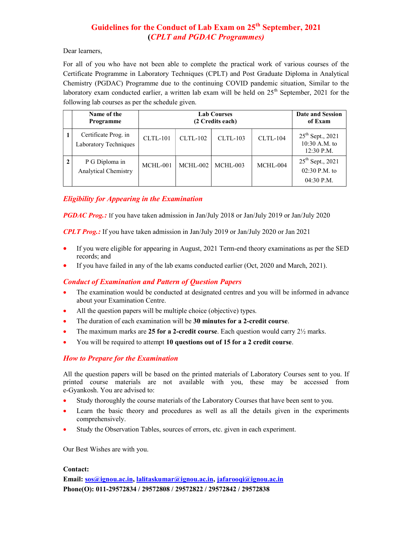# Guidelines for the Conduct of Lab Exam on 25<sup>th</sup> September, 2021 (CPLT and PGDAC Programmes)

Dear learners,

For all of you who have not been able to complete the practical work of various courses of the Certificate Programme in Laboratory Techniques (CPLT) and Post Graduate Diploma in Analytical Chemistry (PGDAC) Programme due to the continuing COVID pandemic situation, Similar to the laboratory exam conducted earlier, a written lab exam will be held on 25<sup>th</sup> September, 2021 for the following lab courses as per the schedule given.

| Name of the<br>Programme                      |            | <b>Date and Session</b><br>of Exam |            |                 |                                                               |
|-----------------------------------------------|------------|------------------------------------|------------|-----------------|---------------------------------------------------------------|
| Certificate Prog. in<br>Laboratory Techniques | $CLTL-101$ | $CLTL-102$                         | $CLTL-103$ | <b>CLTL-104</b> | $25^{\text{th}}$ Sept., 2021<br>10:30 A.M. to<br>$12:30$ P.M. |
| P G Diploma in<br><b>Analytical Chemistry</b> | MCHL-001   | MCHL-002                           | MCHL-003   | MCHL-004        | $25^{\text{th}}$ Sept., 2021<br>02:30 P.M. to<br>$04:30$ P.M. |

#### Eligibility for Appearing in the Examination

**PGDAC Prog.:** If you have taken admission in Jan/July 2018 or Jan/July 2019 or Jan/July 2020

CPLT Prog.: If you have taken admission in Jan/July 2019 or Jan/July 2020 or Jan 2021

- If you were eligible for appearing in August, 2021 Term-end theory examinations as per the SED records; and
- If you have failed in any of the lab exams conducted earlier (Oct, 2020 and March, 2021).

#### Conduct of Examination and Pattern of Question Papers

- The examination would be conducted at designated centres and you will be informed in advance about your Examination Centre.
- All the question papers will be multiple choice (objective) types.
- The duration of each examination will be 30 minutes for a 2-credit course.
- The maximum marks are 25 for a 2-credit course. Each question would carry  $2\frac{1}{2}$  marks.
- You will be required to attempt 10 questions out of 15 for a 2 credit course.

#### How to Prepare for the Examination

All the question papers will be based on the printed materials of Laboratory Courses sent to you. If printed course materials are not available with you, these may be accessed from e-Gyankosh. You are advised to:

- Study thoroughly the course materials of the Laboratory Courses that have been sent to you.
- Learn the basic theory and procedures as well as all the details given in the experiments comprehensively.
- Study the Observation Tables, sources of errors, etc. given in each experiment.

Our Best Wishes are with you.

#### Contact:

Email: sos@ignou.ac.in, lalitaskumar@ignou.ac.in, jafarooqi@ignou.ac.in Phone(O): 011-29572834 / 29572808 / 29572822 / 29572842 / 29572838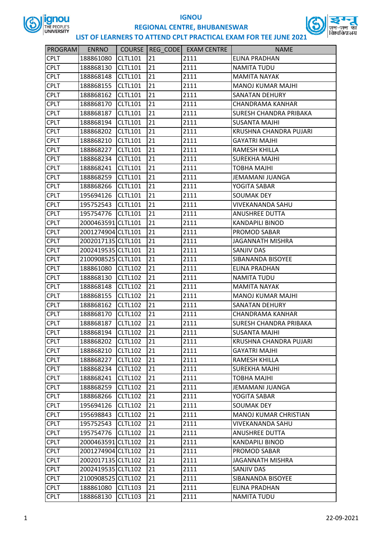



| PROGRAM     | <b>ENRNO</b>       |                |    | COURSE   REG CODE   EXAM CENTRE | <b>NAME</b>                   |
|-------------|--------------------|----------------|----|---------------------------------|-------------------------------|
| <b>CPLT</b> | 188861080          | <b>CLTL101</b> | 21 | 2111                            | ELINA PRADHAN                 |
| <b>CPLT</b> | 188868130          | <b>CLTL101</b> | 21 | 2111                            | <b>NAMITA TUDU</b>            |
| <b>CPLT</b> | 188868148          | <b>CLTL101</b> | 21 | 2111                            | <b>MAMITA NAYAK</b>           |
| <b>CPLT</b> | 188868155          | <b>CLTL101</b> | 21 | 2111                            | <b>MANOJ KUMAR MAJHI</b>      |
| <b>CPLT</b> | 188868162          | <b>CLTL101</b> | 21 | 2111                            | <b>SANATAN DEHURY</b>         |
| <b>CPLT</b> | 188868170          | <b>CLTL101</b> | 21 | 2111                            | CHANDRAMA KANHAR              |
| <b>CPLT</b> | 188868187          | <b>CLTL101</b> | 21 | 2111                            | <b>SURESH CHANDRA PRIBAKA</b> |
| <b>CPLT</b> | 188868194          | <b>CLTL101</b> | 21 | 2111                            | <b>SUSANTA MAJHI</b>          |
| <b>CPLT</b> | 188868202          | <b>CLTL101</b> | 21 | 2111                            | KRUSHNA CHANDRA PUJARI        |
| <b>CPLT</b> | 188868210          | <b>CLTL101</b> | 21 | 2111                            | <b>GAYATRI MAJHI</b>          |
| <b>CPLT</b> | 188868227          | <b>CLTL101</b> | 21 | 2111                            | RAMESH KHILLA                 |
| <b>CPLT</b> | 188868234          | <b>CLTL101</b> | 21 | 2111                            | <b>SUREKHA MAJHI</b>          |
| <b>CPLT</b> | 188868241          | <b>CLTL101</b> | 21 | 2111                            | <b>TOBHA MAJHI</b>            |
| <b>CPLT</b> | 188868259          | <b>CLTL101</b> | 21 | 2111                            | JEMAMANI JUANGA               |
| <b>CPLT</b> | 188868266          | <b>CLTL101</b> | 21 | 2111                            | YOGITA SABAR                  |
| <b>CPLT</b> | 195694126          | <b>CLTL101</b> | 21 | 2111                            | SOUMAK DEY                    |
| <b>CPLT</b> | 195752543          | <b>CLTL101</b> | 21 | 2111                            | <b>VIVEKANANDA SAHU</b>       |
| <b>CPLT</b> | 195754776          | <b>CLTL101</b> | 21 | 2111                            | <b>ANUSHREE DUTTA</b>         |
| <b>CPLT</b> | 2000463591 CLTL101 |                | 21 | 2111                            | <b>KANDAPILI BINOD</b>        |
| <b>CPLT</b> | 2001274904 CLTL101 |                | 21 | 2111                            | PROMOD SABAR                  |
| <b>CPLT</b> | 2002017135 CLTL101 |                | 21 | 2111                            | <b>JAGANNATH MISHRA</b>       |
| <b>CPLT</b> | 2002419535 CLTL101 |                | 21 | 2111                            | <b>SANJIV DAS</b>             |
| <b>CPLT</b> | 2100908525 CLTL101 |                | 21 | 2111                            | SIBANANDA BISOYEE             |
| <b>CPLT</b> | 188861080          | <b>CLTL102</b> | 21 | 2111                            | <b>ELINA PRADHAN</b>          |
| <b>CPLT</b> | 188868130          | <b>CLTL102</b> | 21 | 2111                            | <b>NAMITA TUDU</b>            |
| <b>CPLT</b> | 188868148          | <b>CLTL102</b> | 21 | 2111                            | <b>MAMITA NAYAK</b>           |
| <b>CPLT</b> | 188868155          | <b>CLTL102</b> | 21 | 2111                            | <b>MANOJ KUMAR MAJHI</b>      |
| <b>CPLT</b> | 188868162          | <b>CLTL102</b> | 21 | 2111                            | <b>SANATAN DEHURY</b>         |
| <b>CPLT</b> | 188868170          | <b>CLTL102</b> | 21 | 2111                            | <b>CHANDRAMA KANHAR</b>       |
| <b>CPLT</b> | 188868187          | <b>CLTL102</b> | 21 | 2111                            | SURESH CHANDRA PRIBAKA        |
| <b>CPLT</b> | 188868194          | <b>CLTL102</b> | 21 | 2111                            | <b>SUSANTA MAJHI</b>          |
| <b>CPLT</b> | 188868202          | <b>CLTL102</b> | 21 | 2111                            | KRUSHNA CHANDRA PUJARI        |
| <b>CPLT</b> | 188868210          | <b>CLTL102</b> | 21 | 2111                            | <b>GAYATRI MAJHI</b>          |
| <b>CPLT</b> | 188868227          | <b>CLTL102</b> | 21 | 2111                            | RAMESH KHILLA                 |
| <b>CPLT</b> | 188868234          | <b>CLTL102</b> | 21 | 2111                            | <b>SUREKHA MAJHI</b>          |
| <b>CPLT</b> | 188868241          | <b>CLTL102</b> | 21 | 2111                            | <b>TOBHA MAJHI</b>            |
| <b>CPLT</b> | 188868259          | <b>CLTL102</b> | 21 | 2111                            | JEMAMANI JUANGA               |
| <b>CPLT</b> | 188868266          | <b>CLTL102</b> | 21 | 2111                            | YOGITA SABAR                  |
| <b>CPLT</b> | 195694126          | <b>CLTL102</b> | 21 | 2111                            | <b>SOUMAK DEY</b>             |
| <b>CPLT</b> | 195698843          | <b>CLTL102</b> | 21 | 2111                            | <b>MANOJ KUMAR CHRISTIAN</b>  |
| <b>CPLT</b> | 195752543          | <b>CLTL102</b> | 21 | 2111                            | VIVEKANANDA SAHU              |
| <b>CPLT</b> | 195754776          | <b>CLTL102</b> | 21 | 2111                            | <b>ANUSHREE DUTTA</b>         |
| <b>CPLT</b> | 2000463591 CLTL102 |                | 21 | 2111                            | <b>KANDAPILI BINOD</b>        |
| <b>CPLT</b> | 2001274904 CLTL102 |                | 21 | 2111                            | PROMOD SABAR                  |
| <b>CPLT</b> | 2002017135 CLTL102 |                | 21 | 2111                            | JAGANNATH MISHRA              |
| <b>CPLT</b> | 2002419535 CLTL102 |                | 21 | 2111                            | SANJIV DAS                    |
| <b>CPLT</b> | 2100908525 CLTL102 |                | 21 | 2111                            | SIBANANDA BISOYEE             |
| <b>CPLT</b> | 188861080          | CLTL103        | 21 | 2111                            | ELINA PRADHAN                 |
| <b>CPLT</b> | 188868130          | <b>CLTL103</b> | 21 | 2111                            | <b>NAMITA TUDU</b>            |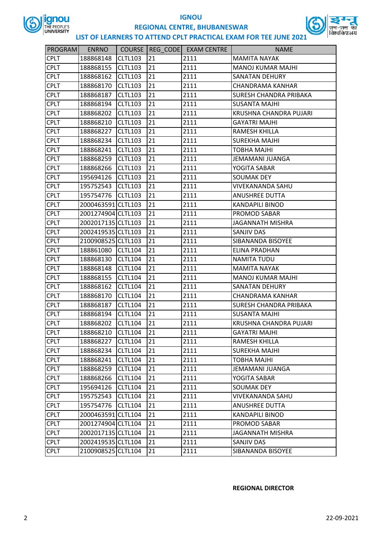



## **LIST OF LEARNERS TO ATTEND CPLT PRACTICAL EXAM FOR TEE JUNE 2021**

| PROGRAM     | <b>ENRNO</b>       | <b>COURSE</b>  |    | REG CODE EXAM CENTRE | <b>NAME</b>                   |
|-------------|--------------------|----------------|----|----------------------|-------------------------------|
| <b>CPLT</b> | 188868148          | <b>CLTL103</b> | 21 | 2111                 | <b>MAMITA NAYAK</b>           |
| <b>CPLT</b> | 188868155          | <b>CLTL103</b> | 21 | 2111                 | <b>MANOJ KUMAR MAJHI</b>      |
| <b>CPLT</b> | 188868162          | <b>CLTL103</b> | 21 | 2111                 | <b>SANATAN DEHURY</b>         |
| <b>CPLT</b> | 188868170          | <b>CLTL103</b> | 21 | 2111                 | <b>CHANDRAMA KANHAR</b>       |
| <b>CPLT</b> | 188868187          | CLTL103        | 21 | 2111                 | <b>SURESH CHANDRA PRIBAKA</b> |
| <b>CPLT</b> | 188868194          | <b>CLTL103</b> | 21 | 2111                 | <b>SUSANTA MAJHI</b>          |
| <b>CPLT</b> | 188868202          | <b>CLTL103</b> | 21 | 2111                 | KRUSHNA CHANDRA PUJARI        |
| <b>CPLT</b> | 188868210          | <b>CLTL103</b> | 21 | 2111                 | <b>GAYATRI MAJHI</b>          |
| <b>CPLT</b> | 188868227          | <b>CLTL103</b> | 21 | 2111                 | RAMESH KHILLA                 |
| <b>CPLT</b> | 188868234          | CLTL103        | 21 | 2111                 | <b>SUREKHA MAJHI</b>          |
| <b>CPLT</b> | 188868241          | <b>CLTL103</b> | 21 | 2111                 | <b>TOBHA MAJHI</b>            |
| <b>CPLT</b> | 188868259          | <b>CLTL103</b> | 21 | 2111                 | JEMAMANI JUANGA               |
| <b>CPLT</b> | 188868266          | <b>CLTL103</b> | 21 | 2111                 | YOGITA SABAR                  |
| <b>CPLT</b> | 195694126          | <b>CLTL103</b> | 21 | 2111                 | <b>SOUMAK DEY</b>             |
| <b>CPLT</b> | 195752543          | CLTL103        | 21 | 2111                 | <b>VIVEKANANDA SAHU</b>       |
| <b>CPLT</b> | 195754776          | <b>CLTL103</b> | 21 | 2111                 | <b>ANUSHREE DUTTA</b>         |
| <b>CPLT</b> | 2000463591 CLTL103 |                | 21 | 2111                 | <b>KANDAPILI BINOD</b>        |
| <b>CPLT</b> | 2001274904 CLTL103 |                | 21 | 2111                 | PROMOD SABAR                  |
| <b>CPLT</b> | 2002017135 CLTL103 |                | 21 | 2111                 | <b>JAGANNATH MISHRA</b>       |
| <b>CPLT</b> | 2002419535 CLTL103 |                | 21 | 2111                 | SANJIV DAS                    |
| <b>CPLT</b> | 2100908525 CLTL103 |                | 21 | 2111                 | SIBANANDA BISOYEE             |
| <b>CPLT</b> | 188861080          | CLTL104        | 21 | 2111                 | ELINA PRADHAN                 |
| <b>CPLT</b> | 188868130          | <b>CLTL104</b> | 21 | 2111                 | NAMITA TUDU                   |
| <b>CPLT</b> | 188868148          | <b>CLTL104</b> | 21 | 2111                 | <b>MAMITA NAYAK</b>           |
| <b>CPLT</b> | 188868155          | CLTL104        | 21 | 2111                 | <b>MANOJ KUMAR MAJHI</b>      |
| <b>CPLT</b> | 188868162          | <b>CLTL104</b> | 21 | 2111                 | <b>SANATAN DEHURY</b>         |
| <b>CPLT</b> | 188868170          | <b>CLTL104</b> | 21 | 2111                 | <b>CHANDRAMA KANHAR</b>       |
| <b>CPLT</b> | 188868187          | <b>CLTL104</b> | 21 | 2111                 | SURESH CHANDRA PRIBAKA        |
| <b>CPLT</b> | 188868194          | <b>CLTL104</b> | 21 | 2111                 | <b>SUSANTA MAJHI</b>          |
| <b>CPLT</b> | 188868202          | <b>CLTL104</b> | 21 | 2111                 | KRUSHNA CHANDRA PUJARI        |
| <b>CPLT</b> | 188868210          | <b>CLTL104</b> | 21 | 2111                 | <b>GAYATRI MAJHI</b>          |
| <b>CPLT</b> | 188868227          | <b>CLTL104</b> | 21 | 2111                 | RAMESH KHILLA                 |
| <b>CPLT</b> | 188868234          | <b>CLTL104</b> | 21 | 2111                 | <b>SUREKHA MAJHI</b>          |
| <b>CPLT</b> | 188868241          | <b>CLTL104</b> | 21 | 2111                 | <b>TOBHA MAJHI</b>            |
| <b>CPLT</b> | 188868259          | <b>CLTL104</b> | 21 | 2111                 | JEMAMANI JUANGA               |
| <b>CPLT</b> | 188868266          | <b>CLTL104</b> | 21 | 2111                 | YOGITA SABAR                  |
| <b>CPLT</b> | 195694126          | <b>CLTL104</b> | 21 | 2111                 | <b>SOUMAK DEY</b>             |
| <b>CPLT</b> | 195752543          | <b>CLTL104</b> | 21 | 2111                 | VIVEKANANDA SAHU              |
| <b>CPLT</b> | 195754776          | <b>CLTL104</b> | 21 | 2111                 | <b>ANUSHREE DUTTA</b>         |
| <b>CPLT</b> | 2000463591 CLTL104 |                | 21 | 2111                 | <b>KANDAPILI BINOD</b>        |
| <b>CPLT</b> | 2001274904 CLTL104 |                | 21 | 2111                 | PROMOD SABAR                  |
| <b>CPLT</b> | 2002017135 CLTL104 |                | 21 | 2111                 | <b>JAGANNATH MISHRA</b>       |
| <b>CPLT</b> | 2002419535 CLTL104 |                | 21 | 2111                 | SANJIV DAS                    |
| <b>CPLT</b> | 2100908525 CLTL104 |                | 21 | 2111                 | SIBANANDA BISOYEE             |

#### **REGIONAL DIRECTOR**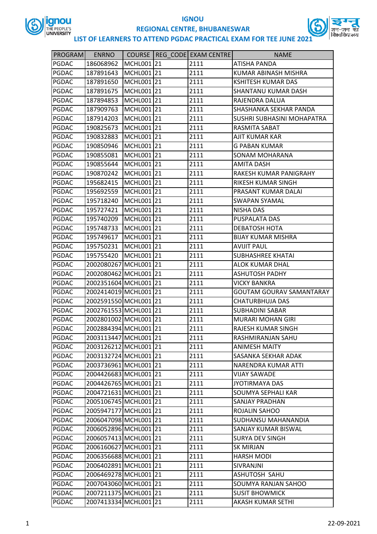

# **IGNOU**



## **REGIONAL CENTRE, BHUBANESWAR**

| PROGRAM      | <b>ENRNO</b>          |            | COURSE   REG CODE   EXAM CENTRE | <b>NAME</b>                       |
|--------------|-----------------------|------------|---------------------------------|-----------------------------------|
| PGDAC        | 186068962             | MCHL001 21 | 2111                            | <b>ATISHA PANDA</b>               |
| <b>PGDAC</b> | 187891643             | MCHL001 21 | 2111                            | KUMAR ABINASH MISHRA              |
| <b>PGDAC</b> | 187891650             | MCHL001 21 | 2111                            | <b>KSHITESH KUMAR DAS</b>         |
| <b>PGDAC</b> | 187891675             | MCHL001 21 | 2111                            | SHANTANU KUMAR DASH               |
| <b>PGDAC</b> | 187894853             | MCHL001 21 | 2111                            | RAJENDRA DALUA                    |
| PGDAC        | 187909763             | MCHL001 21 | 2111                            | SHASHANKA SEKHAR PANDA            |
| PGDAC        | 187914203             | MCHL001 21 | 2111                            | <b>SUSHRI SUBHASINI MOHAPATRA</b> |
| <b>PGDAC</b> | 190825673             | MCHL001 21 | 2111                            | RASMITA SABAT                     |
| <b>PGDAC</b> | 190832883             | MCHL001 21 | 2111                            | AJIT KUMAR KAR                    |
| <b>PGDAC</b> | 190850946             | MCHL001 21 | 2111                            | <b>G PABAN KUMAR</b>              |
| <b>PGDAC</b> | 190855081             | MCHL001 21 | 2111                            | SONAM MOHARANA                    |
| PGDAC        | 190855644             | MCHL001 21 | 2111                            | <b>AMITA DASH</b>                 |
| <b>PGDAC</b> | 190870242             | MCHL001 21 | 2111                            | RAKESH KUMAR PANIGRAHY            |
| PGDAC        | 195682415             | MCHL001 21 | 2111                            | RIKESH KUMAR SINGH                |
| <b>PGDAC</b> | 195692559             | MCHL001 21 | 2111                            | PRASANT KUMAR DALAI               |
| <b>PGDAC</b> | 195718240             | MCHL001 21 | 2111                            | <b>SWAPAN SYAMAL</b>              |
| PGDAC        | 195727421             | MCHL001 21 | 2111                            | <b>NISHA DAS</b>                  |
| <b>PGDAC</b> | 195740209             | MCHL001 21 | 2111                            | PUSPALATA DAS                     |
| <b>PGDAC</b> | 195748733             | MCHL001 21 | 2111                            | DEBATOSH HOTA                     |
| <b>PGDAC</b> | 195749617             | MCHL001 21 | 2111                            | <b>BIJAY KUMAR MISHRA</b>         |
| <b>PGDAC</b> | 195750231             | MCHL001 21 | 2111                            | <b>AVIJIT PAUL</b>                |
| <b>PGDAC</b> | 195755420             | MCHL001 21 | 2111                            | <b>SUBHASHREE KHATAI</b>          |
| PGDAC        | 2002080267 MCHL001 21 |            | 2111                            | <b>ALOK KUMAR DHAL</b>            |
| <b>PGDAC</b> | 2002080462 MCHL001 21 |            | 2111                            | <b>ASHUTOSH PADHY</b>             |
| <b>PGDAC</b> | 2002351604 MCHL001 21 |            | 2111                            | <b>VICKY BANKRA</b>               |
| <b>PGDAC</b> | 2002414019 MCHL001 21 |            | 2111                            | <b>GOUTAM GOURAV SAMANTARAY</b>   |
| <b>PGDAC</b> | 2002591550 MCHL001 21 |            | 2111                            | <b>CHATURBHUJA DAS</b>            |
| PGDAC        | 2002761553 MCHL001 21 |            | 2111                            | <b>SUBHADINI SABAR</b>            |
| <b>PGDAC</b> | 2002801002 MCHL001 21 |            | 2111                            | <b>MURARI MOHAN GIRI</b>          |
| PGDAC        | 2002884394 MCHL001 21 |            | 2111                            | RAJESH KUMAR SINGH                |
| PGDAC        | 2003113447 MCHL001 21 |            | 2111                            | RASHMIRANJAN SAHU                 |
| PGDAC        | 2003126212 MCHL001 21 |            | 2111                            | <b>ANIMESH MAITY</b>              |
| PGDAC        | 2003132724 MCHL001 21 |            | 2111                            | <b>SASANKA SEKHAR ADAK</b>        |
| PGDAC        | 2003736961 MCHL001 21 |            | 2111                            | NARENDRA KUMAR ATTI               |
| PGDAC        | 2004426683 MCHL001 21 |            | 2111                            | <b>VIJAY SAWADE</b>               |
| PGDAC        | 2004426765 MCHL001 21 |            | 2111                            | <b>JYOTIRMAYA DAS</b>             |
| PGDAC        | 2004721631 MCHL001 21 |            | 2111                            | <b>SOUMYA SEPHALI KAR</b>         |
| PGDAC        | 2005106745 MCHL001 21 |            | 2111                            | SANJAY PRADHAN                    |
| PGDAC        | 2005947177 MCHL001 21 |            | 2111                            | ROJALIN SAHOO                     |
| PGDAC        | 2006047098 MCHL001 21 |            | 2111                            | SUDHANSU MAHANANDIA               |
| PGDAC        | 2006052896 MCHL001 21 |            | 2111                            | <b>SANJAY KUMAR BISWAL</b>        |
| PGDAC        | 2006057413 MCHL001 21 |            | 2111                            | <b>SURYA DEV SINGH</b>            |
| PGDAC        | 2006160627 MCHL001 21 |            | 2111                            | <b>SK MIRJAN</b>                  |
| PGDAC        | 2006356688 MCHL001 21 |            | 2111                            | <b>HARSH MODI</b>                 |
| PGDAC        | 2006402891 MCHL001 21 |            | 2111                            | SIVRANJNI                         |
| PGDAC        | 2006469278 MCHL001 21 |            | 2111                            | ASHUTOSH SAHU                     |
| PGDAC        | 2007043060 MCHL001 21 |            | 2111                            | SOUMYA RANJAN SAHOO               |
| PGDAC        | 2007211375 MCHL001 21 |            | 2111                            | <b>SUSIT BHOWMICK</b>             |
| PGDAC        | 2007413334 MCHL001 21 |            | 2111                            | AKASH KUMAR SETHI                 |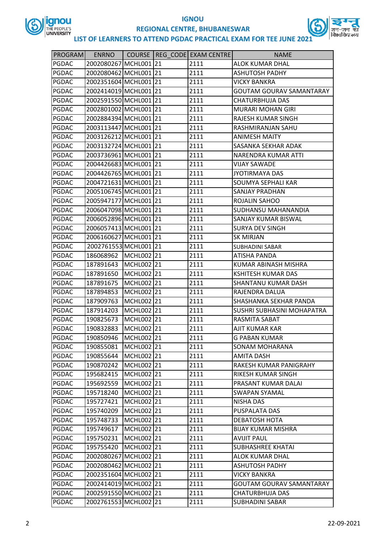



| <b>PROGRAM</b> | <b>ENRNO</b>          |            | COURSE REG CODE EXAM CENTRE | <b>NAME</b>                       |
|----------------|-----------------------|------------|-----------------------------|-----------------------------------|
| PGDAC          | 2002080267 MCHL001 21 |            | 2111                        | <b>ALOK KUMAR DHAL</b>            |
| PGDAC          | 2002080462 MCHL001 21 |            | 2111                        | <b>ASHUTOSH PADHY</b>             |
| PGDAC          | 2002351604 MCHL001 21 |            | 2111                        | <b>VICKY BANKRA</b>               |
| PGDAC          | 2002414019 MCHL001 21 |            | 2111                        | <b>GOUTAM GOURAV SAMANTARAY</b>   |
| PGDAC          | 2002591550 MCHL001 21 |            | 2111                        | <b>CHATURBHUJA DAS</b>            |
| PGDAC          | 2002801002 MCHL001 21 |            | 2111                        | <b>MURARI MOHAN GIRI</b>          |
| PGDAC          | 2002884394 MCHL001 21 |            | 2111                        | RAJESH KUMAR SINGH                |
| PGDAC          | 2003113447 MCHL001 21 |            | 2111                        | <b>RASHMIRANJAN SAHU</b>          |
| PGDAC          | 2003126212 MCHL001 21 |            | 2111                        | <b>ANIMESH MAITY</b>              |
| PGDAC          | 2003132724 MCHL001 21 |            | 2111                        | SASANKA SEKHAR ADAK               |
| PGDAC          | 2003736961 MCHL001 21 |            | 2111                        | NARENDRA KUMAR ATTI               |
| PGDAC          | 2004426683 MCHL001 21 |            | 2111                        | <b>VIJAY SAWADE</b>               |
| PGDAC          | 2004426765 MCHL001 21 |            | 2111                        | <b>JYOTIRMAYA DAS</b>             |
| PGDAC          | 2004721631 MCHL001 21 |            | 2111                        | <b>SOUMYA SEPHALI KAR</b>         |
| PGDAC          | 2005106745 MCHL001 21 |            | 2111                        | <b>SANJAY PRADHAN</b>             |
| PGDAC          | 2005947177 MCHL001 21 |            | 2111                        | ROJALIN SAHOO                     |
| PGDAC          | 2006047098 MCHL001 21 |            | 2111                        | <b>SUDHANSU MAHANANDIA</b>        |
| PGDAC          | 2006052896 MCHL001 21 |            | 2111                        | SANJAY KUMAR BISWAL               |
| PGDAC          | 2006057413 MCHL001 21 |            | 2111                        | <b>SURYA DEV SINGH</b>            |
| PGDAC          | 2006160627 MCHL001 21 |            | 2111                        | <b>SK MIRJAN</b>                  |
| PGDAC          | 2002761553 MCHL001 21 |            | 2111                        | <b>SUBHADINI SABAR</b>            |
| PGDAC          | 186068962             | MCHL002 21 | 2111                        | <b>ATISHA PANDA</b>               |
| PGDAC          | 187891643             | MCHL002 21 | 2111                        | KUMAR ABINASH MISHRA              |
| PGDAC          | 187891650             | MCHL002 21 | 2111                        | <b>KSHITESH KUMAR DAS</b>         |
| PGDAC          | 187891675             | MCHL002 21 | 2111                        | <b>SHANTANU KUMAR DASH</b>        |
| PGDAC          | 187894853             | MCHL002 21 | 2111                        | RAJENDRA DALUA                    |
| PGDAC          | 187909763             | MCHL002 21 | 2111                        | <b>SHASHANKA SEKHAR PANDA</b>     |
| PGDAC          | 187914203             | MCHL002 21 | 2111                        | <b>SUSHRI SUBHASINI MOHAPATRA</b> |
| PGDAC          | 190825673             | MCHL002 21 | 2111                        | RASMITA SABAT                     |
| <b>PGDAC</b>   | 190832883             | MCHL002 21 | 2111                        | <b>AJIT KUMAR KAR</b>             |
| PGDAC          | 190850946             | MCHL002 21 | 2111                        | <b>G PABAN KUMAR</b>              |
| PGDAC          | 190855081             | MCHL002 21 | 2111                        | <b>SONAM MOHARANA</b>             |
| PGDAC          | 190855644             | MCHL002 21 | 2111                        | <b>AMITA DASH</b>                 |
| PGDAC          | 190870242             | MCHL002 21 | 2111                        | RAKESH KUMAR PANIGRAHY            |
| PGDAC          | 195682415             | MCHL002 21 | 2111                        | <b>RIKESH KUMAR SINGH</b>         |
| PGDAC          | 195692559             | MCHL002 21 | 2111                        | PRASANT KUMAR DALAI               |
| PGDAC          | 195718240             | MCHL002 21 | 2111                        | <b>SWAPAN SYAMAL</b>              |
| PGDAC          | 195727421             | MCHL002 21 | 2111                        | <b>NISHA DAS</b>                  |
| PGDAC          | 195740209             | MCHL002 21 | 2111                        | PUSPALATA DAS                     |
| PGDAC          | 195748733             | MCHL002 21 | 2111                        | DEBATOSH HOTA                     |
| PGDAC          | 195749617             | MCHL002 21 | 2111                        | <b>BIJAY KUMAR MISHRA</b>         |
| PGDAC          | 195750231             | MCHL002 21 | 2111                        | <b>AVIJIT PAUL</b>                |
| PGDAC          | 195755420             | MCHL002 21 | 2111                        | <b>SUBHASHREE KHATAI</b>          |
| PGDAC          | 2002080267 MCHL002 21 |            | 2111                        | <b>ALOK KUMAR DHAL</b>            |
| PGDAC          | 2002080462 MCHL002 21 |            | 2111                        | <b>ASHUTOSH PADHY</b>             |
| PGDAC          | 2002351604 MCHL002 21 |            | 2111                        | <b>VICKY BANKRA</b>               |
| PGDAC          | 2002414019 MCHL002 21 |            | 2111                        | <b>GOUTAM GOURAV SAMANTARAY</b>   |
| PGDAC          | 2002591550 MCHL002 21 |            | 2111                        | <b>CHATURBHUJA DAS</b>            |
| PGDAC          | 2002761553 MCHL002 21 |            | 2111                        | <b>SUBHADINI SABAR</b>            |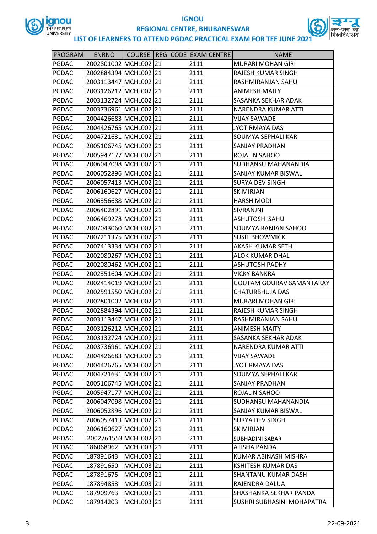



| PROGRAM      | <b>ENRNO</b>          |            | COURSE REG CODE EXAM CENTRE | <b>NAME</b>                     |
|--------------|-----------------------|------------|-----------------------------|---------------------------------|
| PGDAC        | 2002801002 MCHL002 21 |            | 2111                        | <b>MURARI MOHAN GIRI</b>        |
| PGDAC        | 2002884394 MCHL002 21 |            | 2111                        | RAJESH KUMAR SINGH              |
| PGDAC        | 2003113447 MCHL002 21 |            | 2111                        | RASHMIRANJAN SAHU               |
| PGDAC        | 2003126212 MCHL002 21 |            | 2111                        | <b>ANIMESH MAITY</b>            |
| PGDAC        | 2003132724 MCHL002 21 |            | 2111                        | SASANKA SEKHAR ADAK             |
| PGDAC        | 2003736961 MCHL002 21 |            | 2111                        | NARENDRA KUMAR ATTI             |
| PGDAC        | 2004426683 MCHL002 21 |            | 2111                        | <b>VIJAY SAWADE</b>             |
| PGDAC        | 2004426765 MCHL002 21 |            | 2111                        | <b>JYOTIRMAYA DAS</b>           |
| PGDAC        | 2004721631 MCHL002 21 |            | 2111                        | <b>SOUMYA SEPHALI KAR</b>       |
| PGDAC        | 2005106745 MCHL002 21 |            | 2111                        | <b>SANJAY PRADHAN</b>           |
| PGDAC        | 2005947177 MCHL002 21 |            | 2111                        | ROJALIN SAHOO                   |
| PGDAC        | 2006047098 MCHL002 21 |            | 2111                        | <b>SUDHANSU MAHANANDIA</b>      |
| PGDAC        | 2006052896 MCHL002 21 |            | 2111                        | <b>SANJAY KUMAR BISWAL</b>      |
| PGDAC        | 2006057413 MCHL002 21 |            | 2111                        | <b>SURYA DEV SINGH</b>          |
| PGDAC        | 2006160627 MCHL002 21 |            | 2111                        | <b>SK MIRJAN</b>                |
| PGDAC        | 2006356688 MCHL002 21 |            | 2111                        | <b>HARSH MODI</b>               |
| PGDAC        | 2006402891 MCHL002 21 |            | 2111                        | SIVRANJNI                       |
| PGDAC        | 2006469278 MCHL002 21 |            | 2111                        | ASHUTOSH SAHU                   |
| <b>PGDAC</b> | 2007043060 MCHL002 21 |            | 2111                        | <b>SOUMYA RANJAN SAHOO</b>      |
| PGDAC        | 2007211375 MCHL002 21 |            | 2111                        | <b>SUSIT BHOWMICK</b>           |
| PGDAC        | 2007413334 MCHL002 21 |            | 2111                        | <b>AKASH KUMAR SETHI</b>        |
| PGDAC        | 2002080267 MCHL002 21 |            | 2111                        | <b>ALOK KUMAR DHAL</b>          |
| PGDAC        | 2002080462 MCHL002 21 |            | 2111                        | <b>ASHUTOSH PADHY</b>           |
| PGDAC        | 2002351604 MCHL002 21 |            | 2111                        | <b>VICKY BANKRA</b>             |
| PGDAC        | 2002414019 MCHL002 21 |            | 2111                        | <b>GOUTAM GOURAV SAMANTARAY</b> |
| PGDAC        | 2002591550 MCHL002 21 |            | 2111                        | <b>CHATURBHUJA DAS</b>          |
| PGDAC        | 2002801002 MCHL002 21 |            | 2111                        | <b>MURARI MOHAN GIRI</b>        |
| PGDAC        | 2002884394 MCHL002 21 |            | 2111                        | RAJESH KUMAR SINGH              |
| PGDAC        | 2003113447 MCHL002 21 |            | 2111                        | RASHMIRANJAN SAHU               |
| <b>PGDAC</b> | 2003126212 MCHL002 21 |            | 2111                        | <b>ANIMESH MAITY</b>            |
| PGDAC        | 2003132724 MCHL002 21 |            | 2111                        | <b>SASANKA SEKHAR ADAK</b>      |
| PGDAC        | 2003736961 MCHL002 21 |            | 2111                        | <b>NARENDRA KUMAR ATTI</b>      |
| PGDAC        | 2004426683 MCHL002 21 |            | 2111                        | <b>VIJAY SAWADE</b>             |
| PGDAC        | 2004426765 MCHL002 21 |            | 2111                        | <b>JYOTIRMAYA DAS</b>           |
| PGDAC        | 2004721631 MCHL002 21 |            | 2111                        | <b>SOUMYA SEPHALI KAR</b>       |
| PGDAC        | 2005106745 MCHL002 21 |            | 2111                        | <b>SANJAY PRADHAN</b>           |
| PGDAC        | 2005947177 MCHL002 21 |            | 2111                        | ROJALIN SAHOO                   |
| PGDAC        | 2006047098 MCHL002 21 |            | 2111                        | <b>SUDHANSU MAHANANDIA</b>      |
| PGDAC        | 2006052896 MCHL002 21 |            | 2111                        | <b>SANJAY KUMAR BISWAL</b>      |
| PGDAC        | 2006057413 MCHL002 21 |            | 2111                        | <b>SURYA DEV SINGH</b>          |
| PGDAC        | 2006160627 MCHL002 21 |            | 2111                        | <b>SK MIRJAN</b>                |
| PGDAC        | 2002761553 MCHL002 21 |            | 2111                        | <b>SUBHADINI SABAR</b>          |
| PGDAC        | 186068962             | MCHL003 21 | 2111                        | <b>ATISHA PANDA</b>             |
| PGDAC        | 187891643             | MCHL003 21 | 2111                        | KUMAR ABINASH MISHRA            |
| PGDAC        | 187891650             | MCHL003 21 | 2111                        | <b>KSHITESH KUMAR DAS</b>       |
| PGDAC        | 187891675             | MCHL003 21 | 2111                        | <b>SHANTANU KUMAR DASH</b>      |
| PGDAC        | 187894853             | MCHL003 21 | 2111                        | RAJENDRA DALUA                  |
| PGDAC        | 187909763             | MCHL003 21 | 2111                        | SHASHANKA SEKHAR PANDA          |
| PGDAC        | 187914203             | MCHL003 21 | 2111                        | SUSHRI SUBHASINI MOHAPATRA      |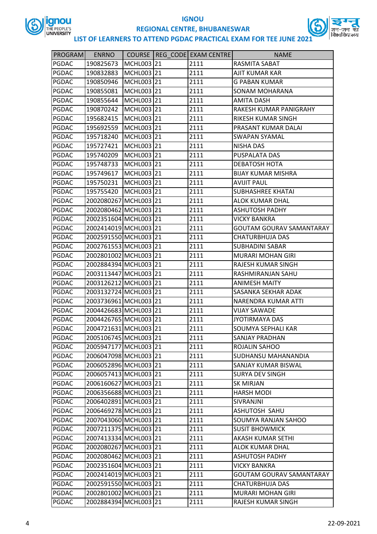

**IGNOU**



**REGIONAL CENTRE, BHUBANESWAR**

| <b>PROGRAM</b> | <b>ENRNO</b>          |            | COURSE   REG CODE   EXAM CENTRE | <b>NAME</b>                     |
|----------------|-----------------------|------------|---------------------------------|---------------------------------|
| <b>PGDAC</b>   | 190825673             | MCHL003 21 | 2111                            | RASMITA SABAT                   |
| <b>PGDAC</b>   | 190832883             | MCHL003 21 | 2111                            | <b>AJIT KUMAR KAR</b>           |
| <b>PGDAC</b>   | 190850946             | MCHL003 21 | 2111                            | <b>G PABAN KUMAR</b>            |
| <b>PGDAC</b>   | 190855081             | MCHL003 21 | 2111                            | SONAM MOHARANA                  |
| <b>PGDAC</b>   | 190855644             | MCHL003 21 | 2111                            | <b>AMITA DASH</b>               |
| <b>PGDAC</b>   | 190870242             | MCHL003 21 | 2111                            | RAKESH KUMAR PANIGRAHY          |
| <b>PGDAC</b>   | 195682415             | MCHL003 21 | 2111                            | <b>RIKESH KUMAR SINGH</b>       |
| <b>PGDAC</b>   | 195692559             | MCHL003 21 | 2111                            | PRASANT KUMAR DALAI             |
| <b>PGDAC</b>   | 195718240             | MCHL003 21 | 2111                            | <b>SWAPAN SYAMAL</b>            |
| <b>PGDAC</b>   | 195727421             | MCHL003 21 | 2111                            | <b>NISHA DAS</b>                |
| <b>PGDAC</b>   | 195740209             | MCHL003 21 | 2111                            | PUSPALATA DAS                   |
| <b>PGDAC</b>   | 195748733             | MCHL003 21 | 2111                            | DEBATOSH HOTA                   |
| <b>PGDAC</b>   | 195749617             | MCHL003 21 | 2111                            | <b>BIJAY KUMAR MISHRA</b>       |
| PGDAC          | 195750231             | MCHL003 21 | 2111                            | <b>AVIJIT PAUL</b>              |
| <b>PGDAC</b>   | 195755420             | MCHL003 21 | 2111                            | <b>SUBHASHREE KHATAI</b>        |
| <b>PGDAC</b>   | 2002080267 MCHL003 21 |            | 2111                            | <b>ALOK KUMAR DHAL</b>          |
| <b>PGDAC</b>   | 2002080462 MCHL003 21 |            | 2111                            | <b>ASHUTOSH PADHY</b>           |
| PGDAC          | 2002351604 MCHL003 21 |            | 2111                            | <b>VICKY BANKRA</b>             |
| PGDAC          | 2002414019 MCHL003 21 |            | 2111                            | <b>GOUTAM GOURAV SAMANTARAY</b> |
| <b>PGDAC</b>   | 2002591550 MCHL003 21 |            | 2111                            | <b>CHATURBHUJA DAS</b>          |
| <b>PGDAC</b>   | 2002761553 MCHL003 21 |            | 2111                            | <b>SUBHADINI SABAR</b>          |
| <b>PGDAC</b>   | 2002801002 MCHL003 21 |            | 2111                            | <b>MURARI MOHAN GIRI</b>        |
| PGDAC          | 2002884394 MCHL003 21 |            | 2111                            | RAJESH KUMAR SINGH              |
| PGDAC          | 2003113447 MCHL003 21 |            | 2111                            | RASHMIRANJAN SAHU               |
| <b>PGDAC</b>   | 2003126212 MCHL003 21 |            | 2111                            | <b>ANIMESH MAITY</b>            |
| <b>PGDAC</b>   | 2003132724 MCHL003 21 |            | 2111                            | SASANKA SEKHAR ADAK             |
| <b>PGDAC</b>   | 2003736961 MCHL003 21 |            | 2111                            | NARENDRA KUMAR ATTI             |
| PGDAC          | 2004426683 MCHL003 21 |            | 2111                            | <b>VIJAY SAWADE</b>             |
| PGDAC          | 2004426765 MCHL003 21 |            | 2111                            | <b>JYOTIRMAYA DAS</b>           |
| <b>PGDAC</b>   | 2004721631 MCHL003 21 |            | 2111                            | <b>SOUMYA SEPHALI KAR</b>       |
| PGDAC          | 2005106745 MCHL003 21 |            | 2111                            | SANJAY PRADHAN                  |
| PGDAC          | 2005947177 MCHL003 21 |            | 2111                            | <b>ROJALIN SAHOO</b>            |
| PGDAC          | 2006047098 MCHL003 21 |            | 2111                            | SUDHANSU MAHANANDIA             |
| <b>PGDAC</b>   | 2006052896 MCHL003 21 |            | 2111                            | SANJAY KUMAR BISWAL             |
| PGDAC          | 2006057413 MCHL003 21 |            | 2111                            | <b>SURYA DEV SINGH</b>          |
| PGDAC          | 2006160627 MCHL003 21 |            | 2111                            | <b>SK MIRJAN</b>                |
| PGDAC          | 2006356688 MCHL003 21 |            | 2111                            | <b>HARSH MODI</b>               |
| PGDAC          | 2006402891 MCHL003 21 |            | 2111                            | SIVRANJNI                       |
| PGDAC          | 2006469278 MCHL003 21 |            | 2111                            | ASHUTOSH SAHU                   |
| PGDAC          | 2007043060 MCHL003 21 |            | 2111                            | <b>SOUMYA RANJAN SAHOO</b>      |
| PGDAC          | 2007211375 MCHL003 21 |            | 2111                            | <b>SUSIT BHOWMICK</b>           |
| PGDAC          | 2007413334 MCHL003 21 |            | 2111                            | AKASH KUMAR SETHI               |
| PGDAC          | 2002080267 MCHL003 21 |            | 2111                            | <b>ALOK KUMAR DHAL</b>          |
| PGDAC          | 2002080462 MCHL003 21 |            | 2111                            | <b>ASHUTOSH PADHY</b>           |
| PGDAC          | 2002351604 MCHL003 21 |            | 2111                            | <b>VICKY BANKRA</b>             |
| PGDAC          | 2002414019 MCHL003 21 |            | 2111                            | <b>GOUTAM GOURAV SAMANTARAY</b> |
| PGDAC          | 2002591550 MCHL003 21 |            | 2111                            | <b>CHATURBHUJA DAS</b>          |
| <b>PGDAC</b>   | 2002801002 MCHL003 21 |            | 2111                            | <b>MURARI MOHAN GIRI</b>        |
| PGDAC          | 2002884394 MCHL003 21 |            | 2111                            | RAJESH KUMAR SINGH              |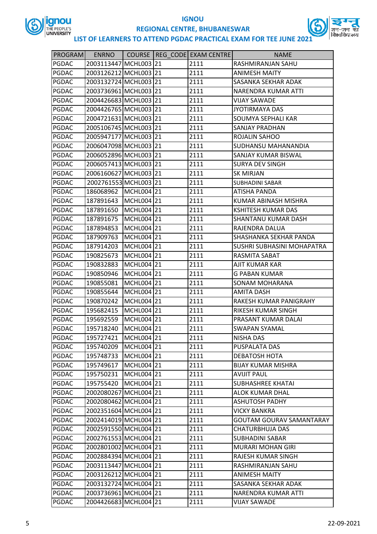



| PROGRAM      | <b>ENRNO</b>          |            | COURSE   REG CODE   EXAM CENTRE | <b>NAME</b>                     |
|--------------|-----------------------|------------|---------------------------------|---------------------------------|
| <b>PGDAC</b> | 2003113447 MCHL003 21 |            | 2111                            | RASHMIRANJAN SAHU               |
| <b>PGDAC</b> | 2003126212 MCHL003 21 |            | 2111                            | <b>ANIMESH MAITY</b>            |
| PGDAC        | 2003132724 MCHL003 21 |            | 2111                            | SASANKA SEKHAR ADAK             |
| <b>PGDAC</b> | 2003736961 MCHL003 21 |            | 2111                            | NARENDRA KUMAR ATTI             |
| PGDAC        | 2004426683 MCHL003 21 |            | 2111                            | <b>VIJAY SAWADE</b>             |
| <b>PGDAC</b> | 2004426765 MCHL003 21 |            | 2111                            | <b>JYOTIRMAYA DAS</b>           |
| <b>PGDAC</b> | 2004721631 MCHL003 21 |            | 2111                            | SOUMYA SEPHALI KAR              |
| PGDAC        | 2005106745 MCHL003 21 |            | 2111                            | <b>SANJAY PRADHAN</b>           |
| <b>PGDAC</b> | 2005947177 MCHL003 21 |            | 2111                            | ROJALIN SAHOO                   |
| <b>PGDAC</b> | 2006047098 MCHL003 21 |            | 2111                            | SUDHANSU MAHANANDIA             |
| PGDAC        | 2006052896 MCHL003 21 |            | 2111                            | SANJAY KUMAR BISWAL             |
| <b>PGDAC</b> | 2006057413 MCHL003 21 |            | 2111                            | <b>SURYA DEV SINGH</b>          |
| PGDAC        | 2006160627 MCHL003 21 |            | 2111                            | SK MIRJAN                       |
| <b>PGDAC</b> | 2002761553 MCHL003 21 |            | 2111                            | <b>SUBHADINI SABAR</b>          |
| <b>PGDAC</b> | 186068962             | MCHL004 21 | 2111                            | ATISHA PANDA                    |
| PGDAC        | 187891643             | MCHL004 21 | 2111                            | KUMAR ABINASH MISHRA            |
| <b>PGDAC</b> | 187891650             | MCHL004 21 | 2111                            | <b>KSHITESH KUMAR DAS</b>       |
| PGDAC        | 187891675             | MCHL004 21 | 2111                            | SHANTANU KUMAR DASH             |
| <b>PGDAC</b> | 187894853             | MCHL004 21 | 2111                            | RAJENDRA DALUA                  |
| PGDAC        | 187909763             | MCHL004 21 | 2111                            | SHASHANKA SEKHAR PANDA          |
| PGDAC        | 187914203             | MCHL004 21 | 2111                            | SUSHRI SUBHASINI MOHAPATRA      |
| <b>PGDAC</b> | 190825673             | MCHL004 21 | 2111                            | RASMITA SABAT                   |
| PGDAC        | 190832883             | MCHL004 21 | 2111                            | AJIT KUMAR KAR                  |
| <b>PGDAC</b> | 190850946             | MCHL004 21 | 2111                            | <b>G PABAN KUMAR</b>            |
| PGDAC        | 190855081             | MCHL004 21 | 2111                            | SONAM MOHARANA                  |
| PGDAC        | 190855644             | MCHL004 21 | 2111                            | <b>AMITA DASH</b>               |
| <b>PGDAC</b> | 190870242             | MCHL004 21 | 2111                            | RAKESH KUMAR PANIGRAHY          |
| <b>PGDAC</b> | 195682415             | MCHL004 21 | 2111                            | RIKESH KUMAR SINGH              |
| <b>PGDAC</b> | 195692559             | MCHL004 21 | 2111                            | PRASANT KUMAR DALAI             |
| <b>PGDAC</b> | 195718240             | MCHL004 21 | 2111                            | <b>SWAPAN SYAMAL</b>            |
| PGDAC        | 195727421             | MCHL004 21 | 2111                            | <b>NISHA DAS</b>                |
| <b>PGDAC</b> | 195740209             | MCHL004 21 | 2111                            | PUSPALATA DAS                   |
| PGDAC        | 195748733             | MCHL004 21 | 2111                            | DEBATOSH HOTA                   |
| PGDAC        | 195749617             | MCHL004 21 | 2111                            | <b>BIJAY KUMAR MISHRA</b>       |
| PGDAC        | 195750231             | MCHL004 21 | 2111                            | <b>AVIJIT PAUL</b>              |
| PGDAC        | 195755420             | MCHL004 21 | 2111                            | <b>SUBHASHREE KHATAI</b>        |
| PGDAC        | 2002080267 MCHL004 21 |            | 2111                            | <b>ALOK KUMAR DHAL</b>          |
| PGDAC        | 2002080462 MCHL004 21 |            | 2111                            | <b>ASHUTOSH PADHY</b>           |
| PGDAC        | 2002351604 MCHL004 21 |            | 2111                            | <b>VICKY BANKRA</b>             |
| PGDAC        | 2002414019 MCHL004 21 |            | 2111                            | <b>GOUTAM GOURAV SAMANTARAY</b> |
| PGDAC        | 2002591550 MCHL004 21 |            | 2111                            | CHATURBHUJA DAS                 |
| PGDAC        | 2002761553 MCHL004 21 |            | 2111                            | <b>SUBHADINI SABAR</b>          |
| PGDAC        | 2002801002 MCHL004 21 |            | 2111                            | MURARI MOHAN GIRI               |
| PGDAC        | 2002884394 MCHL004 21 |            | 2111                            | RAJESH KUMAR SINGH              |
| PGDAC        | 2003113447 MCHL004 21 |            | 2111                            | RASHMIRANJAN SAHU               |
| PGDAC        | 2003126212 MCHL004 21 |            | 2111                            | <b>ANIMESH MAITY</b>            |
| PGDAC        | 2003132724 MCHL004 21 |            | 2111                            | SASANKA SEKHAR ADAK             |
| PGDAC        | 2003736961 MCHL004 21 |            | 2111                            | NARENDRA KUMAR ATTI             |
| PGDAC        | 2004426683 MCHL004 21 |            | 2111                            | <b>VIJAY SAWADE</b>             |